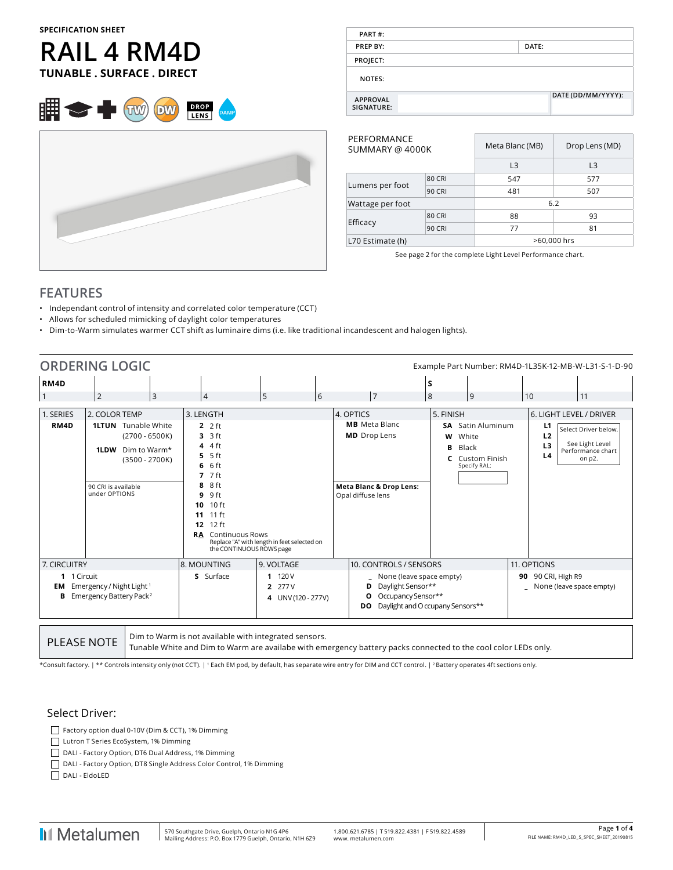#### **SPECIFICATION SHEET**

# **RAIL 4 RM4D TUNABLE . SURFACE . DIRECT**





| PART#:                        |                    |
|-------------------------------|--------------------|
| <b>PREP BY:</b>               | DATE:              |
| PROJECT:                      |                    |
| NOTES:                        |                    |
| <b>APPROVAL</b><br>SIGNATURE: | DATE (DD/MM/YYYY): |

| PERFORMANCE<br>SUMMARY @ 4000K |               | Meta Blanc (MB) | Drop Lens (MD) |  |  |
|--------------------------------|---------------|-----------------|----------------|--|--|
|                                |               | L <sub>3</sub>  | L <sub>3</sub> |  |  |
|                                |               |                 |                |  |  |
|                                | <b>80 CRI</b> | 547             | 577            |  |  |
| Lumens per foot                | <b>90 CRI</b> | 481             | 507            |  |  |
| Wattage per foot               |               | 6.2             |                |  |  |
|                                | <b>80 CRI</b> | 88              | 93             |  |  |
| Efficacy                       | <b>90 CRI</b> | 77              | 81             |  |  |
| L70 Estimate (h)               |               | >60,000 hrs     |                |  |  |
|                                |               |                 |                |  |  |

See page 2 for the complete Light Level Performance chart.

## **FEATURES**

- Independant control of intensity and correlated color temperature (CCT)
- Allows for scheduled mimicking of daylight color temperatures
- Dim-to-Warm simulates warmer CCT shift as luminaire dims (i.e. like traditional incandescent and halogen lights).

|                                        | <b>ORDERING LOGIC</b>                                                                                                                               |                                                                                                                                                                                                                     |                                                       |                                                                                                                     |                                                                                                             | Example Part Number: RM4D-1L35K-12-MB-W-L31-S-1-D-90                                                                                              |
|----------------------------------------|-----------------------------------------------------------------------------------------------------------------------------------------------------|---------------------------------------------------------------------------------------------------------------------------------------------------------------------------------------------------------------------|-------------------------------------------------------|---------------------------------------------------------------------------------------------------------------------|-------------------------------------------------------------------------------------------------------------|---------------------------------------------------------------------------------------------------------------------------------------------------|
| RM4D                                   | 2<br>3                                                                                                                                              | $\overline{4}$                                                                                                                                                                                                      | 6<br>5                                                | $\overline{7}$                                                                                                      | s<br>8<br>9                                                                                                 | 10<br>11                                                                                                                                          |
| 1. SERIES<br>RM4D                      | 2. COLOR TEMP<br><b>1LTUN</b> Tunable White<br>$(2700 - 6500K)$<br>1LDW<br>Dim to Warm*<br>$(3500 - 2700K)$<br>90 CRI is available<br>under OPTIONS | 3. LENGTH<br>2f<br>$3.3$ ft<br>$44$ 4 ft<br>$5.5$ ft<br>$6.6$ ft<br>$77$ ft<br>8 8 ft<br>9 ft<br>9<br>10 10 ft<br>11 11 ft<br>12 ft<br>12 <sup>2</sup><br><b>Continuous Rows</b><br>RA.<br>the CONTINUOUS ROWS page | Replace "A" with length in feet selected on           | 4. OPTICS<br><b>MB</b> Meta Blanc<br><b>MD</b> Drop Lens<br><b>Meta Blanc &amp; Drop Lens:</b><br>Opal diffuse lens | 5. FINISH<br><b>SA</b> Satin Aluminum<br>w<br>White<br>в<br>Black<br><b>C</b> Custom Finish<br>Specify RAL: | 6. LIGHT LEVEL / DRIVER<br>L1<br>Select Driver below.<br>L <sub>2</sub><br>See Light Level<br>L <sub>3</sub><br>Performance chart<br>L4<br>on p2. |
| 7. CIRCUITRY<br>1 1 Circuit<br>EM<br>в | Emergency / Night Light <sup>1</sup><br>Emergency Battery Pack <sup>2</sup>                                                                         | 8. MOUNTING<br>S Surface                                                                                                                                                                                            | 9. VOLTAGE<br>11120V<br>2 277 V<br>4 UNV (120 - 277V) | 10. CONTROLS / SENSORS<br>None (leave space empty)<br>Daylight Sensor**<br>D<br>Occupancy Sensor**<br>O<br>DO.      | Daylight and O ccupany Sensors**                                                                            | 11. OPTIONS<br>90 90 CRI, High R9<br>_ None (leave space empty)                                                                                   |

**PLEASE NOTE**  $\begin{bmatrix}$  Dim to Warm is not available with integrated sensors. Tunable White and Dim to Warm are availabe with emergency battery packs connected to the cool color LEDs only.

\*Consult factory. | \*\* Controls intensity only (not CCT). | 1 Each EM pod, by default, has separate wire entry for DIM and CCT control. | 2 Battery operates 4ft sections only.

#### Select Driver:

Factory option dual 0-10V (Dim & CCT), 1% Dimming

Lutron T Series EcoSystem, 1% Dimming

DALI - Factory Option, DT6 Dual Address, 1% Dimming

DALI - Factory Option, DT8 Single Address Color Control, 1% Dimming

DALI - EldoLED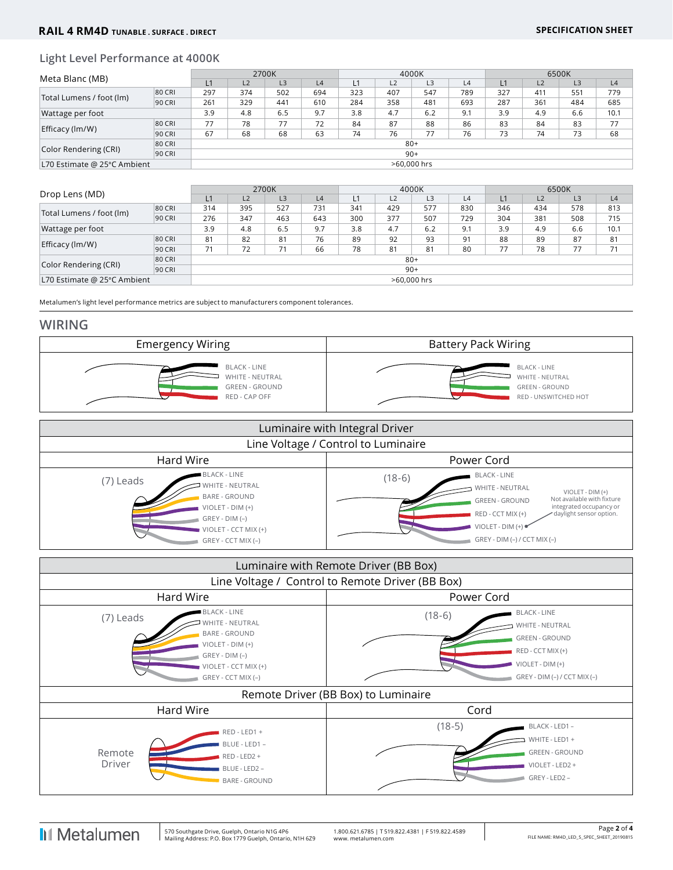### **Light Level Performance at 4000K**

|                                           |        | 2700K       |     |                |     | 4000K |     |     |     | 6500K |     |                |      |
|-------------------------------------------|--------|-------------|-----|----------------|-----|-------|-----|-----|-----|-------|-----|----------------|------|
| Meta Blanc (MB)                           |        | L1          | L2  | L <sub>3</sub> | L4  | L1    | L2  | L3  | L4  | L1    | L2  | L <sub>3</sub> | L4   |
| Total Lumens / foot (lm)                  | 80 CRI | 297         | 374 | 502            | 694 | 323   | 407 | 547 | 789 | 327   | 411 | 551            | 779  |
|                                           | 90 CRI | 261         | 329 | 441            | 610 | 284   | 358 | 481 | 693 | 287   | 361 | 484            | 685  |
| Wattage per foot                          |        | 3.9         | 4.8 | 6.5            | 9.7 | 3.8   | 4.7 | 6.2 | 9.1 | 3.9   | 4.9 | 6.6            | 10.1 |
| Efficacy (lm/W)                           | 80 CRI | 77          | 78  | 77             | 72  | 84    | 87  | 88  | 86  | 83    | 84  | 83             | 77   |
|                                           | 90 CRI | 67          | 68  | 68             | 63  | 74    | 76  | 77  | 76  | 73    | 74  | 73             | 68   |
| 80 CRI<br>Color Rendering (CRI)<br>90 CRI |        | $80+$       |     |                |     |       |     |     |     |       |     |                |      |
|                                           |        | $90+$       |     |                |     |       |     |     |     |       |     |                |      |
| L70 Estimate @ 25°C Ambient               |        | >60,000 hrs |     |                |     |       |     |     |     |       |     |                |      |

| Drop Lens (MD)              |        | 2700K       |     |                |     | 4000K |     |     |     | 6500K |     |                |      |
|-----------------------------|--------|-------------|-----|----------------|-----|-------|-----|-----|-----|-------|-----|----------------|------|
|                             |        | L1          | L2  | L <sub>3</sub> | L4  |       | L2  | L3  | L4  | L1    | L2  | L <sub>3</sub> | L4   |
| Total Lumens / foot (lm)    | 80 CRI | 314         | 395 | 527            | 731 | 341   | 429 | 577 | 830 | 346   | 434 | 578            | 813  |
|                             | 90 CRI | 276         | 347 | 463            | 643 | 300   | 377 | 507 | 729 | 304   | 381 | 508            | 715  |
| Wattage per foot            |        | 3.9         | 4.8 | 6.5            | 9.7 | 3.8   | 4.7 | 6.2 | 9.1 | 3.9   | 4.9 | 6.6            | 10.1 |
|                             | 80 CRI | 81          | 82  | 81             | 76  | 89    | 92  | 93  | 91  | 88    | 89  | 87             | 81   |
| Efficacy (lm/W)             | 90 CRI | 71          | 72  | 71             | 66  | 78    | 81  | 81  | 80  | 77    | 78  | 77             | 71   |
| 80 CRI                      |        | $80+$       |     |                |     |       |     |     |     |       |     |                |      |
| Color Rendering (CRI)       | 90 CRI | $90+$       |     |                |     |       |     |     |     |       |     |                |      |
| L70 Estimate @ 25°C Ambient |        | >60,000 hrs |     |                |     |       |     |     |     |       |     |                |      |

Metalumen's light level performance metrics are subject to manufacturers component tolerances.

#### **WIRING**



| Luminaire with Integral Driver                                                                                                                                      |                                                                                                                                                                                                                                                                  |  |  |  |  |  |  |
|---------------------------------------------------------------------------------------------------------------------------------------------------------------------|------------------------------------------------------------------------------------------------------------------------------------------------------------------------------------------------------------------------------------------------------------------|--|--|--|--|--|--|
| Line Voltage / Control to Luminaire                                                                                                                                 |                                                                                                                                                                                                                                                                  |  |  |  |  |  |  |
| Hard Wire<br>Power Cord                                                                                                                                             |                                                                                                                                                                                                                                                                  |  |  |  |  |  |  |
| <b>BLACK - LINE</b><br>(7) Leads<br>WHITE - NEUTRAL<br><b>BARE - GROUND</b><br>$VIOLET - DIM (+)$<br>$GREV - DIM (-)$<br>VIOLET - CCT MIX (+)<br>GREY - CCT MIX (-) | <b>BLACK - LINE</b><br>$(18-6)$<br>WHITE - NEUTRAL<br>VIOLET - DIM (+)<br>Not available with fixture<br><b>GREEN - GROUND</b><br>integrated occupancy or<br>RED - CCT MIX (+)<br>daylight sensor option.<br>VIOLET - DIM (+) ·<br>$GREV - DIM (-) / CCT MIX (-)$ |  |  |  |  |  |  |

| Luminaire with Remote Driver (BB Box)            |                                                                                                                                                      |                                     |                                                                                                                                                 |  |  |  |  |  |
|--------------------------------------------------|------------------------------------------------------------------------------------------------------------------------------------------------------|-------------------------------------|-------------------------------------------------------------------------------------------------------------------------------------------------|--|--|--|--|--|
| Line Voltage / Control to Remote Driver (BB Box) |                                                                                                                                                      |                                     |                                                                                                                                                 |  |  |  |  |  |
|                                                  | Hard Wire                                                                                                                                            | Power Cord                          |                                                                                                                                                 |  |  |  |  |  |
| (7) Leads                                        | <b>BLACK - LINE</b><br>WHITE - NEUTRAL<br><b>BARE - GROUND</b><br>VIOLET - DIM (+)<br>$GREV - DIM (-)$<br>VIOLET - CCT MIX (+)<br>GREY - CCT MIX (-) | $(18-6)$                            | <b>BLACK - LINE</b><br><b>WHITE - NEUTRAL</b><br><b>GREEN - GROUND</b><br>RED - CCT MIX (+)<br>VIOLET - DIM (+)<br>GREY - DIM (-) / CCT MIX (-) |  |  |  |  |  |
|                                                  |                                                                                                                                                      | Remote Driver (BB Box) to Luminaire |                                                                                                                                                 |  |  |  |  |  |
|                                                  | Hard Wire                                                                                                                                            | Cord                                |                                                                                                                                                 |  |  |  |  |  |
| Remote<br>Driver                                 | RED - LED1 +<br>BLUE - LED1 -<br>RED - LED2 +<br>BLUE - LED2 -<br><b>BARE - GROUND</b>                                                               | $(18-5)$                            | BLACK - LED1 -<br>WHITE - LED1 +<br><b>GREEN - GROUND</b><br>VIOLET - LED2 +<br>GREY - LED2 -                                                   |  |  |  |  |  |

**I**I Metalumen

 $\overline{1}$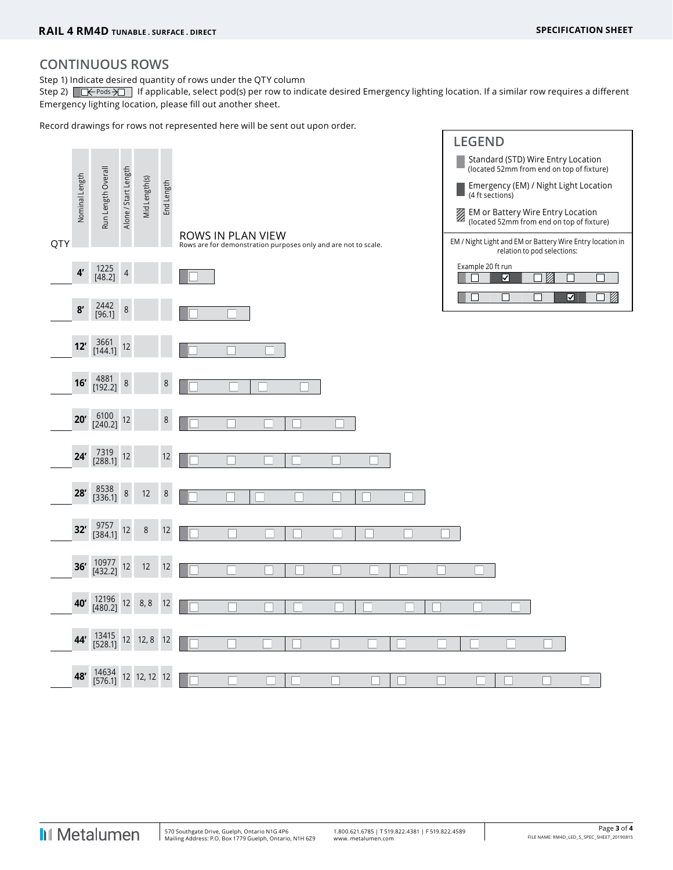## **CONTINUOUS ROWS**

Step 1) Indicate desired quantity of rows under the QTY column

Step 2)  $\Box \leftrightarrow$  Pods  $\overline{\rightarrow}$  If applicable, select pod(s) per row to indicate desired Emergency lighting location. If a similar row requires a different Emergency lighting location, please fill out another sheet.

Record drawings for rows not represented here will be sent out upon order.